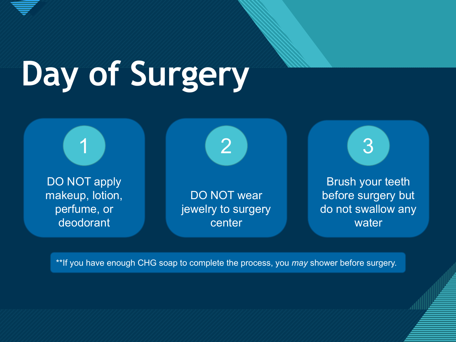

# **Day of Surgery**

DO NOT apply makeup, lotion, perfume, or deodorant

1 2 3

DO NOT wear jewelry to surgery center

Brush your teeth before surgery but do not swallow any water

1

\*\*If you have enough CHG soap to complete the process, you *may* shower before surgery.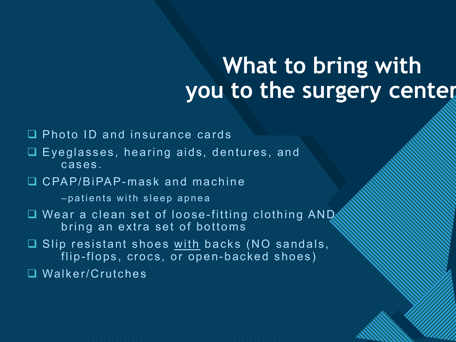### **What to bring with you to the surgery center**

2

**Photo ID and insurance cards** 

 Eyeglasses, hearing aids, dentures, and cases.

CPAP/BiPAP-mask and machine

– patients with sleep apnea

- Wear a clean set of loose-fitting clothing AND bring an extra set of bottoms
- Slip resistant shoes with backs (NO sandals, flip-flops, crocs, or open-backed shoes)
- Walker/Crutches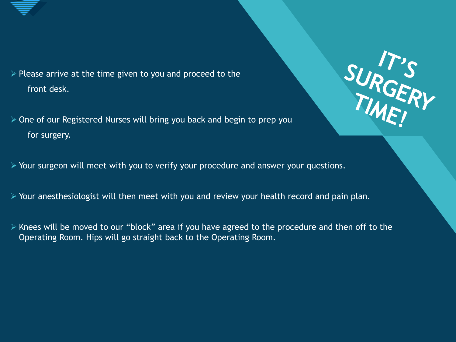

- $\triangleright$  Please arrive at the time given to you and proceed to the front desk.
- $\geq$  One of our Registered Nurses will bring you back and begin to prep you for surgery.



- Your surgeon will meet with you to verify your procedure and answer your questions.
- Your anesthesiologist will then meet with you and review your health record and pain plan.
- $\triangleright$  Knees will be moved to our "block" area if you have agreed to the procedure and then off to the Operating Room. Hips will go straight back to the Operating Room.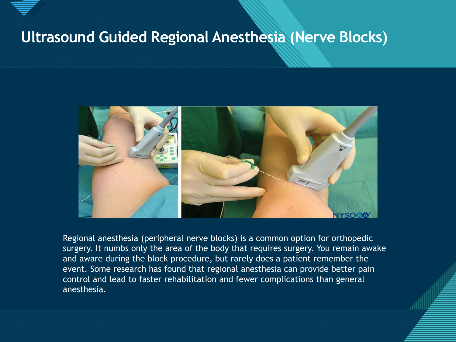

#### **Ultrasound Guided Regional Anesthesia (Nerve Blocks)**



Regional anesthesia (peripheral nerve blocks) is a common option for orthopedic surgery. It numbs only the area of the body that requires surgery. You remain awake and aware during the block procedure, but rarely does a patient remember the event. Some research has found that regional anesthesia can provide better pain control and lead to faster rehabilitation and fewer complications than general anesthesia.

4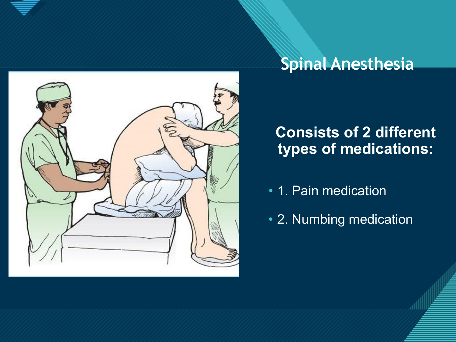

### **Spinal Anesthesia**



- 1. Pain medication
- 2. Numbing medication



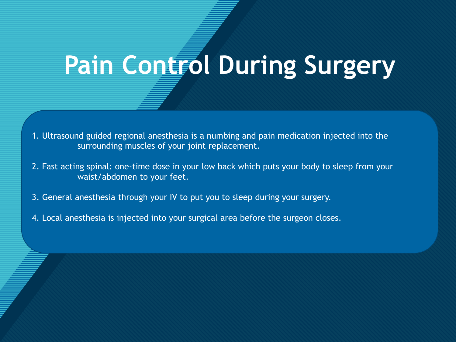# **Pain Control During Surgery**

- 1. Ultrasound guided regional anesthesia is a numbing and pain medication injected into the surrounding muscles of your joint replacement.
- 2. Fast acting spinal: one-time dose in your low back which puts your body to sleep from your waist/abdomen to your feet.
- 3. General anesthesia through your IV to put you to sleep during your surgery.

**Click to edit Master title style**

4. Local anesthesia is injected into your surgical area before the surgeon closes.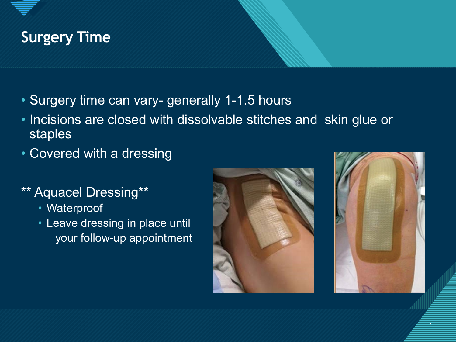### **Click to edit Mass Surgery Time**

- Surgery time can vary- generally 1-1.5 hours
- Incisions are closed with dissolvable stitches and skin glue or staples
- Covered with a dressing

#### \*\* Aquacel Dressing\*\*

- Waterproof
- Leave dressing in place until your follow-up appointment





7 7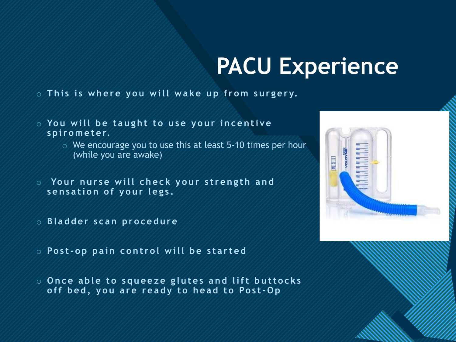### **PACU Experience**

- o **This is where you will wake up from surgery.**
- o **You will be taught to use your incentive spirometer.**
	- $\circ$  We encourage you to use this at least 5-10 times per hour (while you are awake)
- o **Your nurse will check your strength and sensation of your legs.**
- o **Bladder scan procedure**
- o **Post- op pain control will be started**
- o **Once able to squeeze glutes and lift buttocks off bed, you are ready to head to Post- O p**



8